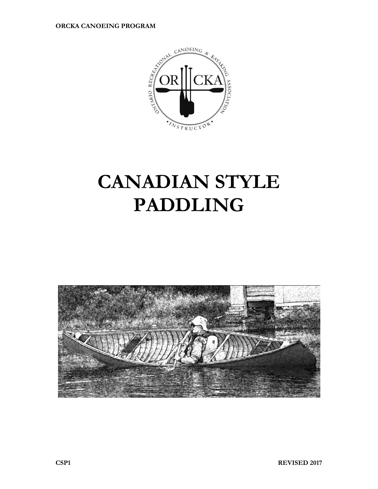

# **CANADIAN STYLE PADDLING**



**CSP1** REVISED 2017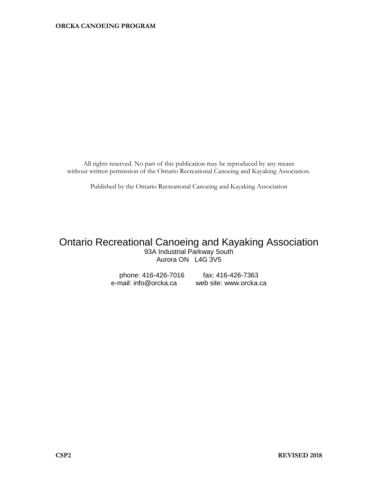All rights reserved. No part of this publication may be reproduced by any means without written permission of the Ontario Recreational Canoeing and Kayaking Association.

Published by the Ontario Recreational Canoeing and Kayaking Association

# Ontario Recreational Canoeing and Kayaking Association 93A Industrial Parkway South Aurora ON L4G 3V5

phone: 416-426-7016 fax: 416-426-7363 e-mail: info@orcka.ca web site: www.orcka.ca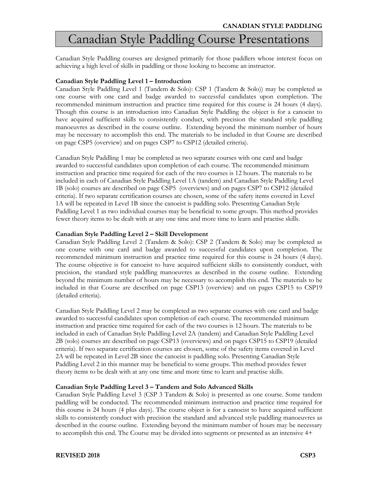# Canadian Style Paddling Course Presentations

Canadian Style Paddling courses are designed primarily for those paddlers whose interest focus on achieving a high level of skills in paddling or those looking to become an instructor.

#### **Canadian Style Paddling Level 1 – Introduction**

Canadian Style Paddling Level 1 (Tandem & Solo): CSP 1 (Tandem & Solo)) may be completed as one course with one card and badge awarded to successful candidates upon completion. The recommended minimum instruction and practice time required for this course is 24 hours (4 days). Though this course is an introduction into Canadian Style Paddling the object is for a canoeist to have acquired sufficient skills to consistently conduct, with precision the standard style paddling manoeuvres as described in the course outline. Extending beyond the minimum number of hours may be necessary to accomplish this end. The materials to be included in that Course are described on page CSP5 (overview) and on pages CSP7 to CSP12 (detailed criteria).

Canadian Style Paddling 1 may be completed as two separate courses with one card and badge awarded to successful candidates upon completion of each course. The recommended minimum instruction and practice time required for each of the two courses is 12 hours. The materials to be included in each of Canadian Style Paddling Level 1A (tandem) and Canadian Style Paddling Level 1B (solo) courses are described on page CSP5 (overviews) and on pages CSP7 to CSP12 (detailed criteria). If two separate certification courses are chosen, some of the safety items covered in Level 1A will be repeated in Level 1B since the canoeist is paddling solo. Presenting Canadian Style Paddling Level 1 as two individual courses may be beneficial to some groups. This method provides fewer theory items to be dealt with at any one time and more time to learn and practise skills.

#### **Canadian Style Paddling Level 2 – Skill Development**

Canadian Style Paddling Level 2 (Tandem & Solo): CSP 2 (Tandem & Solo) may be completed as one course with one card and badge awarded to successful candidates upon completion. The recommended minimum instruction and practice time required for this course is 24 hours (4 days). The course objective is for canoeist to have acquired sufficient skills to consistently conduct, with precision, the standard style paddling manoeuvres as described in the course outline. Extending beyond the minimum number of hours may be necessary to accomplish this end. The materials to be included in that Course are described on page CSP13 (overview) and on pages CSP15 to CSP19 (detailed criteria).

Canadian Style Paddling Level 2 may be completed as two separate courses with one card and badge awarded to successful candidates upon completion of each course. The recommended minimum instruction and practice time required for each of the two courses is 12 hours. The materials to be included in each of Canadian Style Paddling Level 2A (tandem) and Canadian Style Paddling Level 2B (solo) courses are described on page CSP13 (overviews) and on pages CSP15 to CSP19 (detailed criteria). If two separate certification courses are chosen, some of the safety items covered in Level 2A will be repeated in Level 2B since the canoeist is paddling solo. Presenting Canadian Style Paddling Level 2 in this manner may be beneficial to some groups. This method provides fewer theory items to be dealt with at any one time and more time to learn and practise skills.

#### **Canadian Style Paddling Level 3 – Tandem and Solo Advanced Skills**

Canadian Style Paddling Level 3 (CSP 3 Tandem & Solo) is presented as one course. Some tandem paddling will be conducted. The recommended minimum instruction and practice time required for this course is 24 hours (4 plus days). The course object is for a canoeist to have acquired sufficient skills to consistently conduct with precision the standard and advanced style paddling manoeuvres as described in the course outline. Extending beyond the minimum number of hours may be necessary to accomplish this end. The Course may be divided into segments or presented as an intensive 4+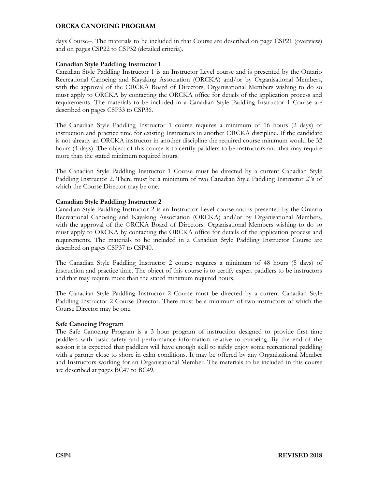days Course--. The materials to be included in that Course are described on page CSP21 (overview) and on pages CSP22 to CSP32 (detailed criteria).

#### **Canadian Style Paddling Instructor 1**

Canadian Style Paddling Instructor 1 is an Instructor Level course and is presented by the Ontario Recreational Canoeing and Kayaking Association (ORCKA) and/or by Organisational Members, with the approval of the ORCKA Board of Directors. Organisational Members wishing to do so must apply to ORCKA by contacting the ORCKA office for details of the application process and requirements. The materials to be included in a Canadian Style Paddling Instructor 1 Course are described on pages CSP33 to CSP36.

The Canadian Style Paddling Instructor 1 course requires a minimum of 16 hours (2 days) of instruction and practice time for existing Instructors in another ORCKA discipline. If the candidate is not already an ORCKA instructor in another discipline the required course minimum would be 32 hours (4 days). The object of this course is to certify paddlers to be instructors and that may require more than the stated minimum required hours.

The Canadian Style Paddling Instructor 1 Course must be directed by a current Canadian Style Paddling Instructor 2. There must be a minimum of two Canadian Style Paddling Instructor 2"s of which the Course Director may be one.

#### **Canadian Style Paddling Instructor 2**

Canadian Style Paddling Instructor 2 is an Instructor Level course and is presented by the Ontario Recreational Canoeing and Kayaking Association (ORCKA) and/or by Organisational Members, with the approval of the ORCKA Board of Directors. Organisational Members wishing to do so must apply to ORCKA by contacting the ORCKA office for details of the application process and requirements. The materials to be included in a Canadian Style Paddling Instructor Course are described on pages CSP37 to CSP40.

The Canadian Style Paddling Instructor 2 course requires a minimum of 48 hours (5 days) of instruction and practice time. The object of this course is to certify expert paddlers to be instructors and that may require more than the stated minimum required hours.

The Canadian Style Paddling Instructor 2 Course must be directed by a current Canadian Style Paddling Instructor 2 Course Director. There must be a minimum of two instructors of which the Course Director may be one.

#### **Safe Canoeing Program**

The Safe Canoeing Program is a 3 hour program of instruction designed to provide first time paddlers with basic safety and performance information relative to canoeing. By the end of the session it is expected that paddlers will have enough skill to safely enjoy some recreational paddling with a partner close to shore in calm conditions. It may be offered by any Organisational Member and Instructors working for an Organisational Member. The materials to be included in this course are described at pages BC47 to BC49.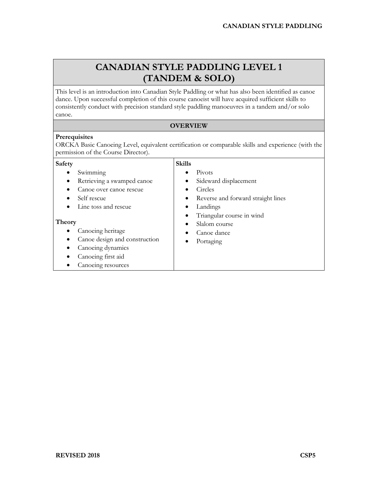# **CANADIAN STYLE PADDLING LEVEL 1 (TANDEM & SOLO)**

This level is an introduction into Canadian Style Paddling or what has also been identified as canoe dance. Upon successful completion of this course canoeist will have acquired sufficient skills to consistently conduct with precision standard style paddling manoeuvres in a tandem and/or solo canoe.

### **OVERVIEW**

### **Prerequisites**

ORCKA Basic Canoeing Level, equivalent certification or comparable skills and experience (with the permission of the Course Director).

| Safety        |                               | <b>Skills</b> |                                    |
|---------------|-------------------------------|---------------|------------------------------------|
|               | Swimming                      |               | Pivots                             |
| ٠             | Retrieving a swamped canoe    |               | Sideward displacement              |
|               | Canoe over canoe rescue       |               | Circles                            |
|               | Self rescue                   |               | Reverse and forward straight lines |
|               | Line toss and rescue          |               | Landings                           |
|               |                               |               | Triangular course in wind          |
| <b>Theory</b> |                               |               | Slalom course                      |
|               | Canoeing heritage             |               | Canoe dance                        |
| $\bullet$     | Canoe design and construction |               | Portaging                          |
|               | Canoeing dynamics             |               |                                    |
|               | Canoeing first aid            |               |                                    |
|               | Canoeing resources            |               |                                    |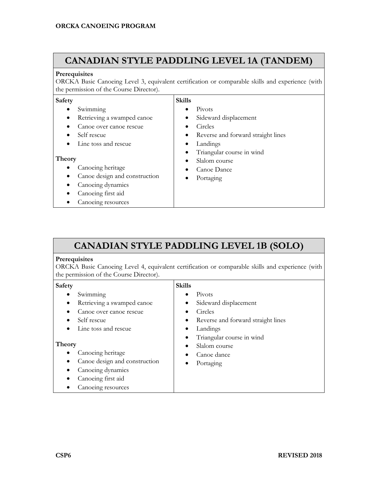# **CANADIAN STYLE PADDLING LEVEL 1A (TANDEM)**

#### **Prerequisites**

ORCKA Basic Canoeing Level 3, equivalent certification or comparable skills and experience (with the permission of the Course Director).

| Safety                             | <b>Skills</b>                           |
|------------------------------------|-----------------------------------------|
| Swimming<br>٠                      | Pivots<br>٠                             |
| Retrieving a swamped canoe<br>٠    | Sideward displacement                   |
| Canoe over canoe rescue            | Circles                                 |
| Self rescue                        | Reverse and forward straight lines<br>٠ |
| Line toss and rescue               | Landings                                |
|                                    | Triangular course in wind               |
| <b>Theory</b>                      | Slalom course<br>٠                      |
| Canoeing heritage<br>$\bullet$     | Canoe Dance                             |
| Canoe design and construction<br>٠ | Portaging                               |
| Canoeing dynamics                  |                                         |
| Canoeing first aid                 |                                         |
| Canoeing resources                 |                                         |

# **CANADIAN STYLE PADDLING LEVEL 1B (SOLO)**

#### **Prerequisites**

ORCKA Basic Canoeing Level 4, equivalent certification or comparable skills and experience (with the permission of the Course Director).

| Safety                                  | <b>Skills</b>                                   |
|-----------------------------------------|-------------------------------------------------|
| Swimming                                | Pivots                                          |
| Retrieving a swamped canoe<br>$\bullet$ | Sideward displacement<br>$\bullet$              |
| Canoe over canoe rescue                 | Circles                                         |
| Self rescue                             | Reverse and forward straight lines<br>$\bullet$ |
| Line toss and rescue                    | Landings<br>$\bullet$                           |
|                                         | Triangular course in wind<br>٠                  |
| Theory                                  | Slalom course                                   |
| Canoeing heritage<br>٠                  | Canoe dance                                     |
| Canoe design and construction<br>٠      | Portaging<br>٠                                  |
| Canoeing dynamics                       |                                                 |
| Canoeing first aid<br>٠                 |                                                 |
| Canoeing resources<br>٠                 |                                                 |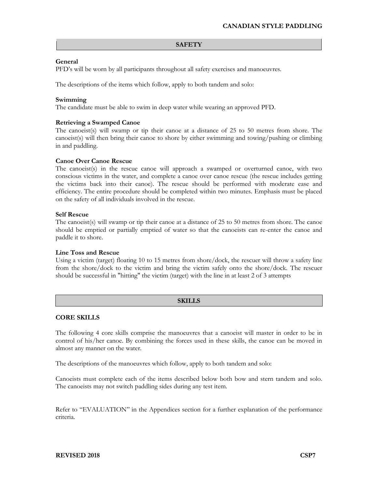#### **SAFETY**

#### **General**

PFD's will be worn by all participants throughout all safety exercises and manoeuvres.

The descriptions of the items which follow, apply to both tandem and solo:

#### **Swimming**

The candidate must be able to swim in deep water while wearing an approved PFD.

#### **Retrieving a Swamped Canoe**

The canoeist(s) will swamp or tip their canoe at a distance of 25 to 50 metres from shore. The canoeist(s) will then bring their canoe to shore by either swimming and towing/pushing or climbing in and paddling.

#### **Canoe Over Canoe Rescue**

The canoeist(s) in the rescue canoe will approach a swamped or overturned canoe, with two conscious victims in the water, and complete a canoe over canoe rescue (the rescue includes getting the victims back into their canoe). The rescue should be performed with moderate ease and efficiency. The entire procedure should be completed within two minutes. Emphasis must be placed on the safety of all individuals involved in the rescue.

#### **Self Rescue**

The canoeist(s) will swamp or tip their canoe at a distance of 25 to 50 metres from shore. The canoe should be emptied or partially emptied of water so that the canoeists can re-enter the canoe and paddle it to shore.

#### **Line Toss and Rescue**

Using a victim (target) floating 10 to 15 metres from shore/dock, the rescuer will throw a safety line from the shore/dock to the victim and bring the victim safely onto the shore/dock. The rescuer should be successful in "hitting" the victim (target) with the line in at least 2 of 3 attempts

#### **SKILLS**

#### **CORE SKILLS**

The following 4 core skills comprise the manoeuvres that a canoeist will master in order to be in control of his/her canoe. By combining the forces used in these skills, the canoe can be moved in almost any manner on the water.

The descriptions of the manoeuvres which follow, apply to both tandem and solo:

Canoeists must complete each of the items described below both bow and stern tandem and solo. The canoeists may not switch paddling sides during any test item.

Refer to "EVALUATION" in the Appendices section for a further explanation of the performance criteria.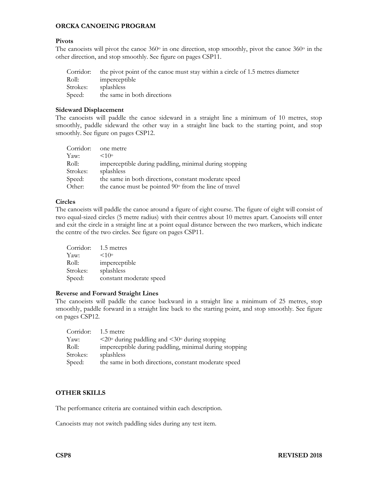#### **Pivots**

The canoeists will pivot the canoe  $360^\circ$  in one direction, stop smoothly, pivot the canoe  $360^\circ$  in the other direction, and stop smoothly. See figure on pages CSP11.

|        | Corridor: the pivot point of the canoe must stay within a circle of 1.5 metres diameter |
|--------|-----------------------------------------------------------------------------------------|
|        | Roll: imperceptible                                                                     |
|        | Strokes: splashless                                                                     |
| Speed: | the same in both directions                                                             |

#### **Sideward Displacement**

The canoeists will paddle the canoe sideward in a straight line a minimum of 10 metres, stop smoothly, paddle sideward the other way in a straight line back to the starting point, and stop smoothly. See figure on pages CSP12.

| Corridor: | one metre                                              |
|-----------|--------------------------------------------------------|
| Yaw:      | $<$ 10 <sup>o</sup>                                    |
| Roll:     | imperceptible during paddling, minimal during stopping |
| Strokes:  | splashless                                             |
| Speed:    | the same in both directions, constant moderate speed   |
| Other:    | the canoe must be pointed 90° from the line of travel  |

#### **Circles**

The canoeists will paddle the canoe around a figure of eight course. The figure of eight will consist of two equal-sized circles (5 metre radius) with their centres about 10 metres apart. Canoeists will enter and exit the circle in a straight line at a point equal distance between the two markers, which indicate the centre of the two circles. See figure on pages CSP11.

| Corridor: | 1.5 metres              |
|-----------|-------------------------|
| Yaw:      | $< 10$ <sup>o</sup>     |
| Roll:     | imperceptible           |
| Strokes:  | splashless              |
| Speed:    | constant moderate speed |

#### **Reverse and Forward Straight Lines**

The canoeists will paddle the canoe backward in a straight line a minimum of 25 metres, stop smoothly, paddle forward in a straight line back to the starting point, and stop smoothly. See figure on pages CSP12.

| Corridor: | 1.5 metre                                                 |
|-----------|-----------------------------------------------------------|
| Yaw:      | $\leq$ 20° during paddling and $\leq$ 30° during stopping |
| Roll:     | imperceptible during paddling, minimal during stopping    |
| Strokes:  | splashless                                                |
| Speed:    | the same in both directions, constant moderate speed      |

#### **OTHER SKILLS**

The performance criteria are contained within each description.

Canoeists may not switch paddling sides during any test item.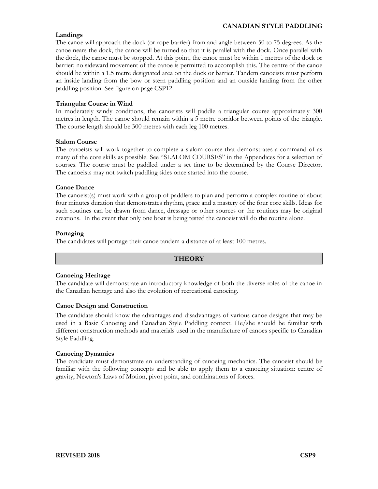#### **CANADIAN STYLE PADDLING**

#### **Landings**

The canoe will approach the dock (or rope barrier) from and angle between 50 to 75 degrees. As the canoe nears the dock, the canoe will be turned so that it is parallel with the dock. Once parallel with the dock, the canoe must be stopped. At this point, the canoe must be within 1 metres of the dock or barrier; no sideward movement of the canoe is permitted to accomplish this. The centre of the canoe should be within a 1.5 metre designated area on the dock or barrier. Tandem canoeists must perform an inside landing from the bow or stern paddling position and an outside landing from the other paddling position. See figure on page CSP12.

#### **Triangular Course in Wind**

In moderately windy conditions, the canoeists will paddle a triangular course approximately 300 metres in length. The canoe should remain within a 5 metre corridor between points of the triangle. The course length should be 300 metres with each leg 100 metres.

#### **Slalom Course**

The canoeists will work together to complete a slalom course that demonstrates a command of as many of the core skills as possible. See "SLALOM COURSES" in the Appendices for a selection of courses. The course must be paddled under a set time to be determined by the Course Director. The canoeists may not switch paddling sides once started into the course.

#### **Canoe Dance**

The canoeist(s) must work with a group of paddlers to plan and perform a complex routine of about four minutes duration that demonstrates rhythm, grace and a mastery of the four core skills. Ideas for such routines can be drawn from dance, dressage or other sources or the routines may be original creations. In the event that only one boat is being tested the canoeist will do the routine alone.

#### **Portaging**

The candidates will portage their canoe tandem a distance of at least 100 metres.

#### **THEORY**

#### **Canoeing Heritage**

The candidate will demonstrate an introductory knowledge of both the diverse roles of the canoe in the Canadian heritage and also the evolution of recreational canoeing.

#### **Canoe Design and Construction**

The candidate should know the advantages and disadvantages of various canoe designs that may be used in a Basic Canoeing and Canadian Style Paddling context. He/she should be familiar with different construction methods and materials used in the manufacture of canoes specific to Canadian Style Paddling.

#### **Canoeing Dynamics**

The candidate must demonstrate an understanding of canoeing mechanics. The canoeist should be familiar with the following concepts and be able to apply them to a canoeing situation: centre of gravity, Newton's Laws of Motion, pivot point, and combinations of forces.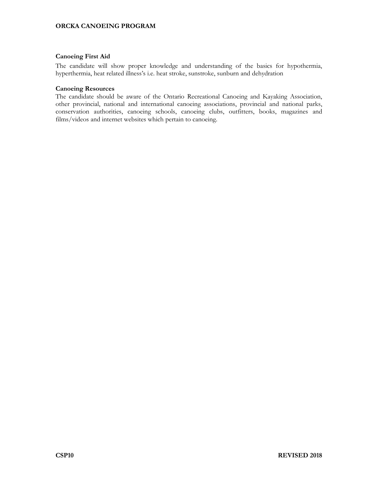#### **Canoeing First Aid**

The candidate will show proper knowledge and understanding of the basics for hypothermia, hyperthermia, heat related illness's i.e. heat stroke, sunstroke, sunburn and dehydration

#### **Canoeing Resources**

The candidate should be aware of the Ontario Recreational Canoeing and Kayaking Association, other provincial, national and international canoeing associations, provincial and national parks, conservation authorities, canoeing schools, canoeing clubs, outfitters, books, magazines and films/videos and internet websites which pertain to canoeing.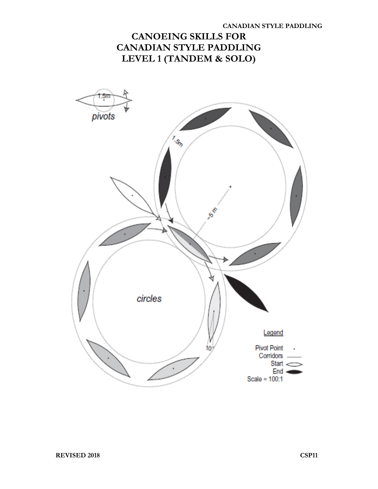# **CANADIAN STYLE PADDLING**

# **CANOEING SKILLS FOR CANADIAN STYLE PADDLING LEVEL 1 (TANDEM & SOLO)**

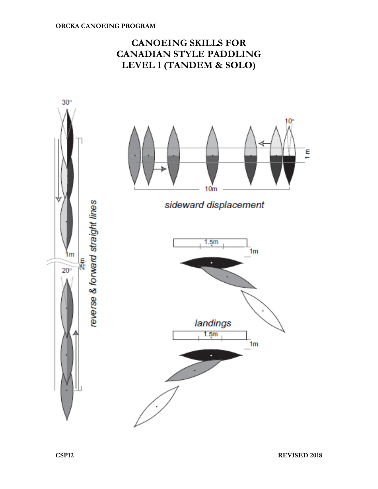

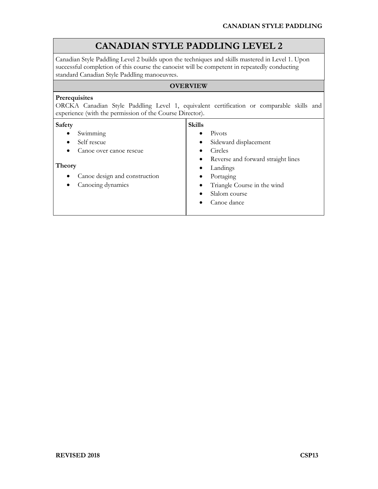### **CANADIAN STYLE PADDLING**

# **CANADIAN STYLE PADDLING LEVEL 2**

Canadian Style Paddling Level 2 builds upon the techniques and skills mastered in Level 1. Upon successful completion of this course the canoeist will be competent in repeatedly conducting standard Canadian Style Paddling manoeuvres.

#### **OVERVIEW**

#### **Prerequisites**

ORCKA Canadian Style Paddling Level 1, equivalent certification or comparable skills and experience (with the permission of the Course Director).

| <b>Safety</b>                              | <b>Skills</b>                        |
|--------------------------------------------|--------------------------------------|
| Swimming<br>$\bullet$                      | Pivots<br>$\bullet$                  |
| Self rescue                                | Sideward displacement<br>$\bullet$   |
| Canoe over canoe rescue                    | Circles<br>$\bullet$                 |
|                                            | • Reverse and forward straight lines |
| <b>Theory</b>                              | Landings<br>$\bullet$                |
| Canoe design and construction<br>$\bullet$ | Portaging<br>٠                       |
| Canoeing dynamics<br>$\bullet$             | • Triangle Course in the wind        |
|                                            | Slalom course<br>$\bullet$           |
|                                            | Canoe dance<br>$\bullet$             |
|                                            |                                      |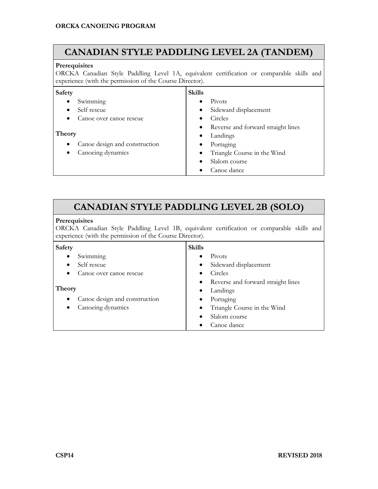# **CANADIAN STYLE PADDLING LEVEL 2A (TANDEM)**

### **Prerequisites**

ORCKA Canadian Style Paddling Level 1A, equivalent certification or comparable skills and experience (with the permission of the Course Director).

| Safety    |                               | <b>Skills</b> |                                      |
|-----------|-------------------------------|---------------|--------------------------------------|
| $\bullet$ | Swimming                      | $\bullet$     | Pivots                               |
| $\bullet$ | Self rescue                   | $\bullet$     | Sideward displacement                |
| $\bullet$ | Canoe over canoe rescue       | $\bullet$     | Circles                              |
|           |                               |               | • Reverse and forward straight lines |
| Theory    |                               | $\bullet$     | Landings                             |
| $\bullet$ | Canoe design and construction | $\bullet$     | Portaging                            |
| $\bullet$ | Canoeing dynamics             |               | • Triangle Course in the Wind        |
|           |                               | $\bullet$     | Slalom course                        |
|           |                               |               | Canoe dance                          |

# **CANADIAN STYLE PADDLING LEVEL 2B (SOLO)**

### **Prerequisites**

ORCKA Canadian Style Paddling Level 1B, equivalent certification or comparable skills and experience (with the permission of the Course Director).

| Safety        |                               | <b>Skills</b> |                                      |
|---------------|-------------------------------|---------------|--------------------------------------|
| $\bullet$     | Swimming                      |               | Pivots                               |
| $\bullet$     | Self rescue                   | $\bullet$     | Sideward displacement                |
| $\bullet$     | Canoe over canoe rescue       |               | Circles                              |
|               |                               |               | • Reverse and forward straight lines |
| <b>Theory</b> |                               | $\bullet$     | Landings                             |
| $\bullet$     | Canoe design and construction |               | Portaging                            |
| $\bullet$     | Canoeing dynamics             | $\bullet$     | Triangle Course in the Wind          |
|               |                               |               | Slalom course                        |
|               |                               |               | Canoe dance                          |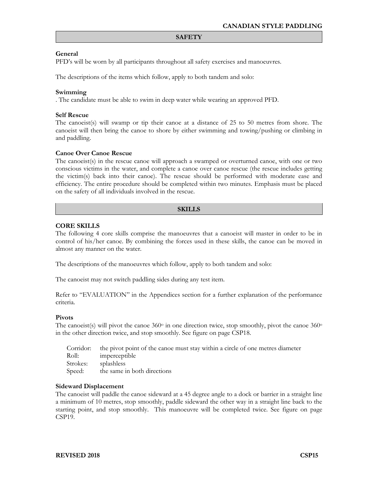#### **SAFETY**

#### **General**

PFD's will be worn by all participants throughout all safety exercises and manoeuvres.

The descriptions of the items which follow, apply to both tandem and solo:

#### **Swimming**

. The candidate must be able to swim in deep water while wearing an approved PFD.

#### **Self Rescue**

The canoeist(s) will swamp or tip their canoe at a distance of 25 to 50 metres from shore. The canoeist will then bring the canoe to shore by either swimming and towing/pushing or climbing in and paddling.

#### **Canoe Over Canoe Rescue**

The canoeist(s) in the rescue canoe will approach a swamped or overturned canoe, with one or two conscious victims in the water, and complete a canoe over canoe rescue (the rescue includes getting the victim(s) back into their canoe). The rescue should be performed with moderate ease and efficiency. The entire procedure should be completed within two minutes. Emphasis must be placed on the safety of all individuals involved in the rescue.

#### **SKILLS**

#### **CORE SKILLS**

The following 4 core skills comprise the manoeuvres that a canoeist will master in order to be in control of his/her canoe. By combining the forces used in these skills, the canoe can be moved in almost any manner on the water.

The descriptions of the manoeuvres which follow, apply to both tandem and solo:

The canoeist may not switch paddling sides during any test item.

Refer to "EVALUATION" in the Appendices section for a further explanation of the performance criteria.

#### **Pivots**

The canoeist(s) will pivot the canoe  $360^\circ$  in one direction twice, stop smoothly, pivot the canoe  $360^\circ$ in the other direction twice, and stop smoothly. See figure on page CSP18.

| Corridor: the pivot point of the canoe must stay within a circle of one metres diameter |
|-----------------------------------------------------------------------------------------|
| Roll: imperceptible                                                                     |
| Strokes: splashless                                                                     |
| Speed: the same in both directions                                                      |

#### **Sideward Displacement**

The canoeist will paddle the canoe sideward at a 45 degree angle to a dock or barrier in a straight line a minimum of 10 metres, stop smoothly, paddle sideward the other way in a straight line back to the starting point, and stop smoothly. This manoeuvre will be completed twice. See figure on page CSP19.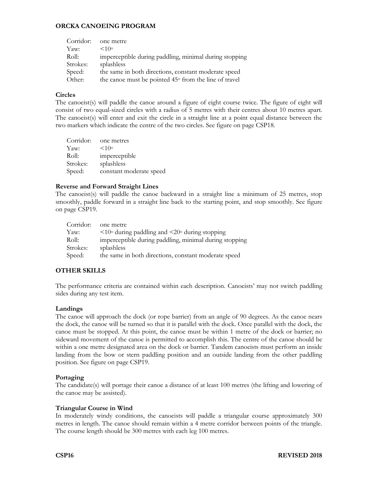| Corridor: | one metre                                                         |
|-----------|-------------------------------------------------------------------|
| Yaw:      | $<$ 10 <sup>o</sup>                                               |
| Roll:     | imperceptible during paddling, minimal during stopping            |
| Strokes:  | splashless                                                        |
| Speed:    | the same in both directions, constant moderate speed              |
| Other:    | the canoe must be pointed 45 <sup>°</sup> from the line of travel |

#### **Circles**

The canoeist(s) will paddle the canoe around a figure of eight course twice. The figure of eight will consist of two equal-sized circles with a radius of 5 metres with their centres about 10 metres apart. The canoeist(s) will enter and exit the circle in a straight line at a point equal distance between the two markers which indicate the centre of the two circles. See figure on page CSP18.

| Corridor: | one metres              |
|-----------|-------------------------|
| Yaw:      | $<10$ <sup>o</sup>      |
| Roll:     | imperceptible           |
| Strokes:  | splashless              |
| Speed:    | constant moderate speed |

#### **Reverse and Forward Straight Lines**

The canoeist(s) will paddle the canoe backward in a straight line a minimum of 25 metres, stop smoothly, paddle forward in a straight line back to the starting point, and stop smoothly. See figure on page CSP19.

| Corridor: | one metre                                                 |
|-----------|-----------------------------------------------------------|
| Yaw:      | $\leq$ 10° during paddling and $\leq$ 20° during stopping |
| Roll:     | imperceptible during paddling, minimal during stopping    |
| Strokes:  | splashless                                                |
| Speed:    | the same in both directions, constant moderate speed      |

#### **OTHER SKILLS**

The performance criteria are contained within each description. Canoeists' may not switch paddling sides during any test item.

#### **Landings**

The canoe will approach the dock (or rope barrier) from an angle of 90 degrees. As the canoe nears the dock, the canoe will be turned so that it is parallel with the dock. Once parallel with the dock, the canoe must be stopped. At this point, the canoe must be within 1 metre of the dock or barrier; no sideward movement of the canoe is permitted to accomplish this. The centre of the canoe should be within a one metre designated area on the dock or barrier. Tandem canoeists must perform an inside landing from the bow or stern paddling position and an outside landing from the other paddling position. See figure on page CSP19.

#### **Portaging**

The candidate(s) will portage their canoe a distance of at least 100 metres (the lifting and lowering of the canoe may be assisted).

#### **Triangular Course in Wind**

In moderately windy conditions, the canoeists will paddle a triangular course approximately 300 metres in length. The canoe should remain within a 4 metre corridor between points of the triangle. The course length should be 300 metres with each leg 100 metres.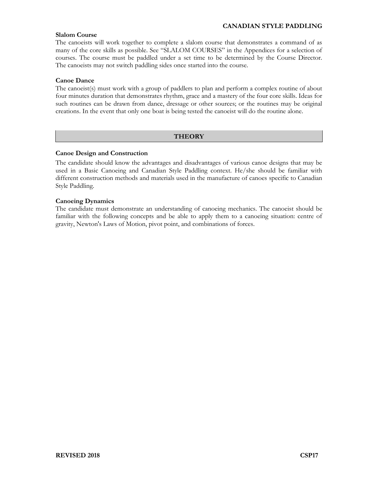#### **CANADIAN STYLE PADDLING**

#### **Slalom Course**

The canoeists will work together to complete a slalom course that demonstrates a command of as many of the core skills as possible. See "SLALOM COURSES" in the Appendices for a selection of courses. The course must be paddled under a set time to be determined by the Course Director. The canoeists may not switch paddling sides once started into the course.

#### **Canoe Dance**

The canoeist(s) must work with a group of paddlers to plan and perform a complex routine of about four minutes duration that demonstrates rhythm, grace and a mastery of the four core skills. Ideas for such routines can be drawn from dance, dressage or other sources; or the routines may be original creations. In the event that only one boat is being tested the canoeist will do the routine alone.

#### **THEORY**

#### **Canoe Design and Construction**

The candidate should know the advantages and disadvantages of various canoe designs that may be used in a Basic Canoeing and Canadian Style Paddling context. He/she should be familiar with different construction methods and materials used in the manufacture of canoes specific to Canadian Style Paddling.

#### **Canoeing Dynamics**

The candidate must demonstrate an understanding of canoeing mechanics. The canoeist should be familiar with the following concepts and be able to apply them to a canoeing situation: centre of gravity, Newton's Laws of Motion, pivot point, and combinations of forces.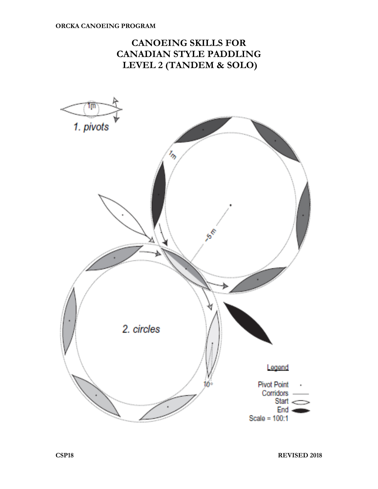# **CANOEING SKILLS FOR CANADIAN STYLE PADDLING LEVEL 2 (TANDEM & SOLO)**

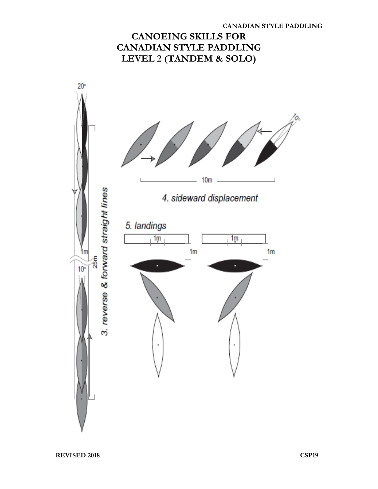# **CANOEING SKILLS FOR CANADIAN STYLE PADDLING LEVEL 2 (TANDEM & SOLO)**

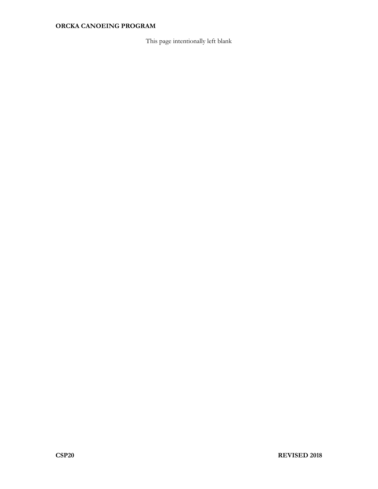This page intentionally left blank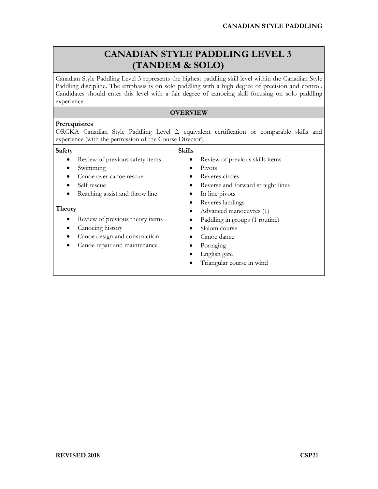# **CANADIAN STYLE PADDLING LEVEL 3 (TANDEM & SOLO)**

Canadian Style Paddling Level 3 represents the highest paddling skill level within the Canadian Style Paddling discipline. The emphasis is on solo paddling with a high degree of precision and control. Candidates should enter this level with a fair degree of canoeing skill focusing on solo paddling experience.

### **OVERVIEW**

#### **Prerequisites**

ORCKA Canadian Style Paddling Level 2, equivalent certification or comparable skills and experience (with the permission of the Course Director).

| Safety                               | <b>Skills</b>                                   |
|--------------------------------------|-------------------------------------------------|
| Review of previous safety items<br>٠ | Review of previous skills items<br>٠            |
| Swimming                             | Pivots<br>٠                                     |
| Canoe over canoe rescue              | Reveres circles                                 |
| Self rescue                          | Reverse and forward straight lines<br>$\bullet$ |
| Reaching assist and throw line       | In line pivots<br>٠                             |
|                                      | Reveres landings                                |
| Theory                               | Advanced manoeuvres (1)<br>٠                    |
| Review of previous theory items<br>٠ | Paddling in groups (1 routine)                  |
| Canoeing history<br>٠                | Slalom course                                   |
| Canoe design and construction        | Canoe dance                                     |
| Canoe repair and maintenance         | Portaging                                       |
|                                      | English gate                                    |
|                                      | Triangular course in wind                       |
|                                      |                                                 |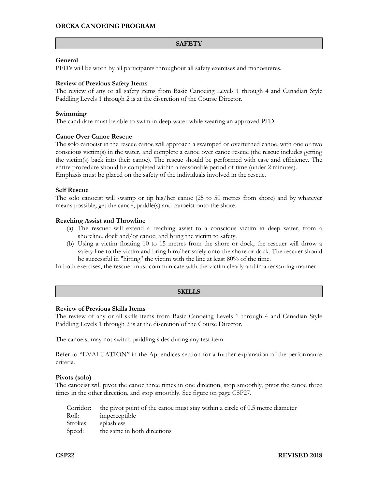#### **SAFETY**

#### **General**

PFD's will be worn by all participants throughout all safety exercises and manoeuvres.

#### **Review of Previous Safety Items**

The review of any or all safety items from Basic Canoeing Levels 1 through 4 and Canadian Style Paddling Levels 1 through 2 is at the discretion of the Course Director.

#### **Swimming**

The candidate must be able to swim in deep water while wearing an approved PFD.

#### **Canoe Over Canoe Rescue**

The solo canoeist in the rescue canoe will approach a swamped or overturned canoe, with one or two conscious victim(s) in the water, and complete a canoe over canoe rescue (the rescue includes getting the victim(s) back into their canoe). The rescue should be performed with ease and efficiency. The entire procedure should be completed within a reasonable period of time (under 2 minutes). Emphasis must be placed on the safety of the individuals involved in the rescue.

#### **Self Rescue**

The solo canoeist will swamp or tip his/her canoe (25 to 50 metres from shore) and by whatever means possible, get the canoe, paddle(s) and canoeist onto the shore.

#### **Reaching Assist and Throwline**

- (a) The rescuer will extend a reaching assist to a conscious victim in deep water, from a shoreline, dock and/or canoe, and bring the victim to safety.
- (b) Using a victim floating 10 to 15 metres from the shore or dock, the rescuer will throw a safety line to the victim and bring him/her safely onto the shore or dock. The rescuer should be successful in "hitting" the victim with the line at least 80% of the time.

In both exercises, the rescuer must communicate with the victim clearly and in a reassuring manner.

#### **SKILLS**

#### **Review of Previous Skills Items**

The review of any or all skills items from Basic Canoeing Levels 1 through 4 and Canadian Style Paddling Levels 1 through 2 is at the discretion of the Course Director.

The canoeist may not switch paddling sides during any test item.

Refer to "EVALUATION" in the Appendices section for a further explanation of the performance criteria.

#### **Pivots (solo)**

The canoeist will pivot the canoe three times in one direction, stop smoothly, pivot the canoe three times in the other direction, and stop smoothly. See figure on page CSP27.

|        | Corridor: the pivot point of the canoe must stay within a circle of 0.5 metre diameter |
|--------|----------------------------------------------------------------------------------------|
|        | Roll: imperceptible                                                                    |
|        | Strokes: splashless                                                                    |
| Speed: | the same in both directions                                                            |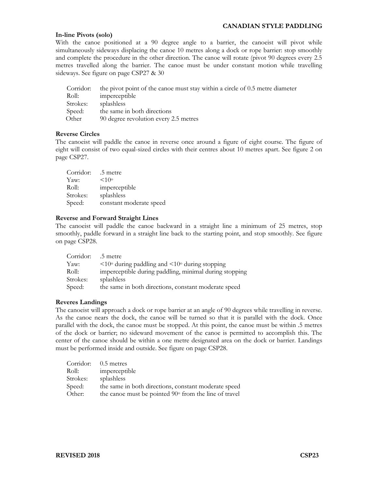#### **CANADIAN STYLE PADDLING**

#### **In-line Pivots (solo)**

With the canoe positioned at a 90 degree angle to a barrier, the canoeist will pivot while simultaneously sideways displacing the canoe 10 metres along a dock or rope barrier: stop smoothly and complete the procedure in the other direction. The canoe will rotate (pivot 90 degrees every 2.5 metres travelled along the barrier. The canoe must be under constant motion while travelling sideways. See figure on page CSP27 & 30

| Corridor: | the pivot point of the canoe must stay within a circle of 0.5 metre diameter |
|-----------|------------------------------------------------------------------------------|
| Roll:     | imperceptible                                                                |
| Strokes:  | splashless                                                                   |
| Speed:    | the same in both directions                                                  |
| Other     | 90 degree revolution every 2.5 metres                                        |

#### **Reverse Circles**

The canoeist will paddle the canoe in reverse once around a figure of eight course. The figure of eight will consist of two equal-sized circles with their centres about 10 metres apart. See figure 2 on page CSP27.

| Corridor: | .5 metre                |
|-----------|-------------------------|
| Yaw:      | $<$ 10 <sup>o</sup>     |
| Roll:     | imperceptible           |
| Strokes:  | splashless              |
| Speed:    | constant moderate speed |

#### **Reverse and Forward Straight Lines**

The canoeist will paddle the canoe backward in a straight line a minimum of 25 metres, stop smoothly, paddle forward in a straight line back to the starting point, and stop smoothly. See figure on page CSP28.

| Corridor: | .5 metre                                                  |
|-----------|-----------------------------------------------------------|
| Yaw:      | $\leq$ 10° during paddling and $\leq$ 10° during stopping |
| Roll:     | imperceptible during paddling, minimal during stopping    |
| Strokes:  | splashless                                                |
| Speed:    | the same in both directions, constant moderate speed      |

#### **Reveres Landings**

The canoeist will approach a dock or rope barrier at an angle of 90 degrees while travelling in reverse. As the canoe nears the dock, the canoe will be turned so that it is parallel with the dock. Once parallel with the dock, the canoe must be stopped. At this point, the canoe must be within .5 metres of the dock or barrier; no sideward movement of the canoe is permitted to accomplish this. The center of the canoe should be within a one metre designated area on the dock or barrier. Landings must be performed inside and outside. See figure on page CSP28.

| Corridor: 0.5 metres |                                                       |
|----------------------|-------------------------------------------------------|
| Roll:                | imperceptible                                         |
| Strokes:             | splashless                                            |
| Speed:               | the same in both directions, constant moderate speed  |
| Other:               | the canoe must be pointed 90° from the line of travel |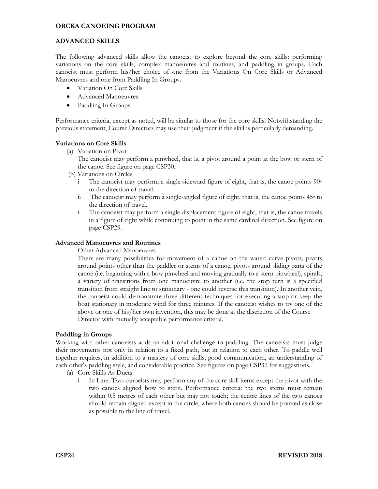### **ADVANCED SKILLS**

The following advanced skills allow the canoeist to explore beyond the core skills: performing variations on the core skills, complex manoeuvres and routines, and paddling in groups. Each canoeist must perform his/her choice of one from the Variations On Core Skills or Advanced Manoeuvres and one from Paddling In Groups.

- Variation On Core Skills
- Advanced Manoeuvres
- Paddling In Groups

Performance criteria, except as noted, will be similar to those for the core skills. Notwithstanding the previous statement, Course Directors may use their judgment if the skill is particularly demanding.

#### **Variations on Core Skills**

(a) Variation on Pivot

The canoeist may perform a pinwheel, that is, a pivot around a point at the bow or stern of the canoe. See figure on page CSP30.

- (b) Variations on Circles
	- i The canoeist may perform a single sideward figure of eight, that is, the canoe points  $90^\circ$ to the direction of travel.
	- ii The canoeist may perform a single-angled figure of eight, that is, the canoe points  $45^\circ$  to the direction of travel.
	- i The canoeist may perform a single displacement figure of eight, that is, the canoe travels in a figure of eight while continuing to point in the same cardinal direction. See figure on page CSP29.

#### **Advanced Manoeuvres and Routines**

Other Advanced Manoeuvres

There are many possibilities for movement of a canoe on the water: curve pivots, pivots around points other than the paddler or stems of a canoe, pivots around sliding parts of the canoe (i.e. beginning with a bow pinwheel and moving gradually to a stern pinwheel), spirals, a variety of transitions from one manoeuvre to another (i.e. the stop turn is a specified transition from straight line to stationary - one could reverse this transition). In another vein, the canoeist could demonstrate three different techniques for executing a stop or keep the boat stationary in moderate wind for three minutes. If the canoeist wishes to try one of the above or one of his/her own invention, this may be done at the discretion of the Course Director with mutually acceptable performance criteria.

#### **Paddling in Groups**

Working with other canoeists adds an additional challenge to paddling. The canoeists must judge their movements not only in relation to a fixed path, but in relation to each other. To paddle well together requires, in addition to a mastery of core skills, good communication, an understanding of each other's paddling style, and considerable practice. See figures on page CSP32 for suggestions.

- (a) Core Skills As Duets
	- i In Line. Two canoeists may perform any of the core skill items except the pivot with the two canoes aligned bow to stern. Performance criteria: the two stems must remain within 0.5 metres of each other but may not touch; the centre lines of the two canoes should remain aligned except in the circle, where both canoes should be pointed as close as possible to the line of travel.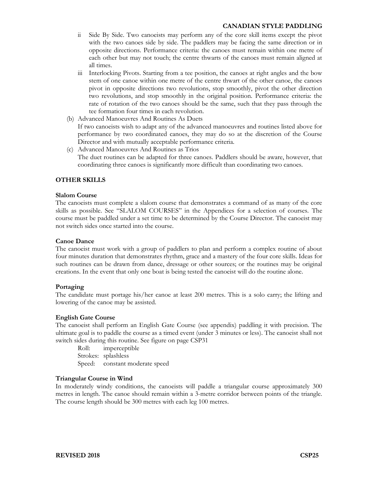#### **CANADIAN STYLE PADDLING**

- ii Side By Side. Two canoeists may perform any of the core skill items except the pivot with the two canoes side by side. The paddlers may be facing the same direction or in opposite directions. Performance criteria: the canoes must remain within one metre of each other but may not touch; the centre thwarts of the canoes must remain aligned at all times.
- iii Interlocking Pivots. Starting from a tee position, the canoes at right angles and the bow stem of one canoe within one metre of the centre thwart of the other canoe, the canoes pivot in opposite directions two revolutions, stop smoothly, pivot the other direction two revolutions, and stop smoothly in the original position. Performance criteria: the rate of rotation of the two canoes should be the same, such that they pass through the tee formation four times in each revolution.
- (b) Advanced Manoeuvres And Routines As Duets

If two canoeists wish to adapt any of the advanced manoeuvres and routines listed above for performance by two coordinated canoes, they may do so at the discretion of the Course Director and with mutually acceptable performance criteria.

(c) Advanced Manoeuvres And Routines as Trios The duet routines can be adapted for three canoes. Paddlers should be aware, however, that coordinating three canoes is significantly more difficult than coordinating two canoes.

#### **OTHER SKILLS**

#### **Slalom Course**

The canoeists must complete a slalom course that demonstrates a command of as many of the core skills as possible. See "SLALOM COURSES" in the Appendices for a selection of courses. The course must be paddled under a set time to be determined by the Course Director. The canoeist may not switch sides once started into the course.

#### **Canoe Dance**

The canoeist must work with a group of paddlers to plan and perform a complex routine of about four minutes duration that demonstrates rhythm, grace and a mastery of the four core skills. Ideas for such routines can be drawn from dance, dressage or other sources; or the routines may be original creations. In the event that only one boat is being tested the canoeist will do the routine alone.

#### **Portaging**

The candidate must portage his/her canoe at least 200 metres. This is a solo carry; the lifting and lowering of the canoe may be assisted.

#### **English Gate Course**

The canoeist shall perform an English Gate Course (see appendix) paddling it with precision. The ultimate goal is to paddle the course as a timed event (under 3 minutes or less). The canoeist shall not switch sides during this routine. See figure on page CSP31

Roll: imperceptible Strokes: splashless Speed: constant moderate speed

#### **Triangular Course in Wind**

In moderately windy conditions, the canoeists will paddle a triangular course approximately 300 metres in length. The canoe should remain within a 3-metre corridor between points of the triangle. The course length should be 300 metres with each leg 100 metres.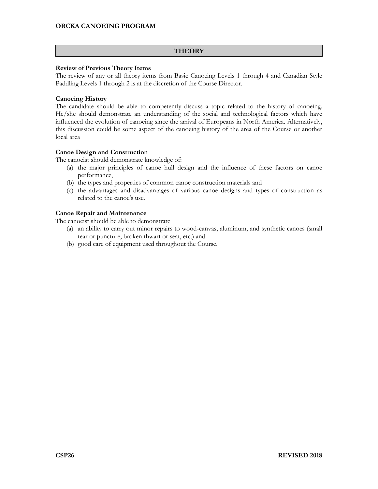#### **THEORY**

#### **Review of Previous Theory Items**

The review of any or all theory items from Basic Canoeing Levels 1 through 4 and Canadian Style Paddling Levels 1 through 2 is at the discretion of the Course Director.

#### **Canoeing History**

The candidate should be able to competently discuss a topic related to the history of canoeing. He/she should demonstrate an understanding of the social and technological factors which have influenced the evolution of canoeing since the arrival of Europeans in North America. Alternatively, this discussion could be some aspect of the canoeing history of the area of the Course or another local area

#### **Canoe Design and Construction**

The canoeist should demonstrate knowledge of:

- (a) the major principles of canoe hull design and the influence of these factors on canoe performance,
- (b) the types and properties of common canoe construction materials and
- (c) the advantages and disadvantages of various canoe designs and types of construction as related to the canoe's use.

#### **Canoe Repair and Maintenance**

The canoeist should be able to demonstrate

- (a) an ability to carry out minor repairs to wood-canvas, aluminum, and synthetic canoes (small tear or puncture, broken thwart or seat, etc.) and
- (b) good care of equipment used throughout the Course.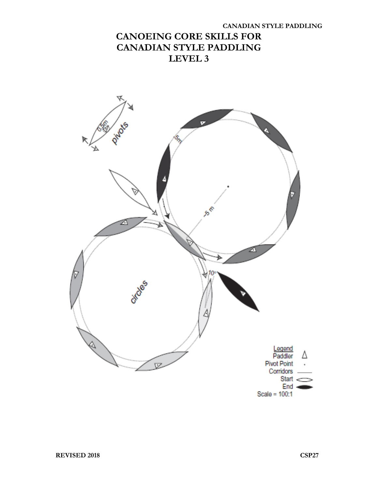# **CANADIAN STYLE PADDLING CANOEING CORE SKILLS FOR CANADIAN STYLE PADDLING LEVEL 3**

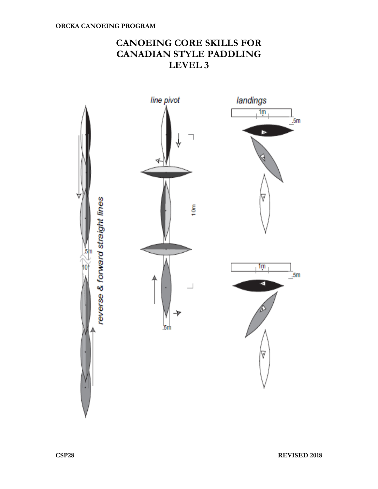# **CANOEING CORE SKILLS FOR CANADIAN STYLE PADDLING LEVEL 3**

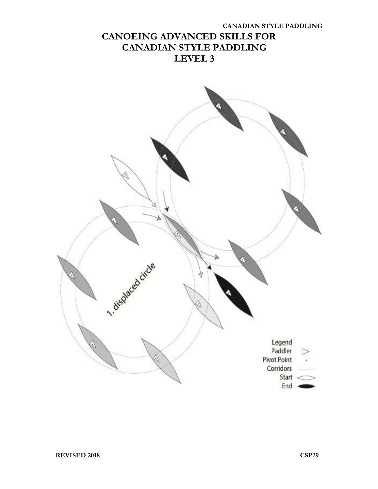# **CANADIAN STYLE PADDLING CANOEING ADVANCED SKILLS FOR CANADIAN STYLE PADDLING LEVEL 3**

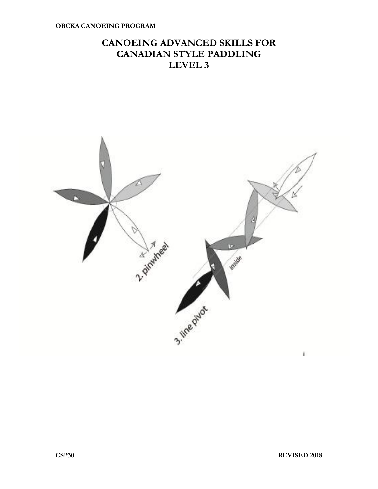# **CANOEING ADVANCED SKILLS FOR CANADIAN STYLE PADDLING LEVEL 3**

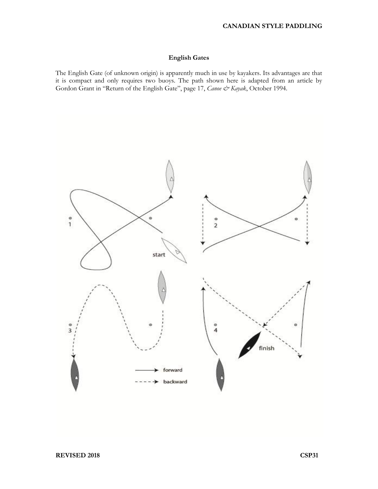#### **CANADIAN STYLE PADDLING**

#### **English Gates**

The English Gate (of unknown origin) is apparently much in use by kayakers. Its advantages are that it is compact and only requires two buoys. The path shown here is adapted from an article by Gordon Grant in "Return of the English Gate", page 17, *Canoe & Kayak*, October 1994.

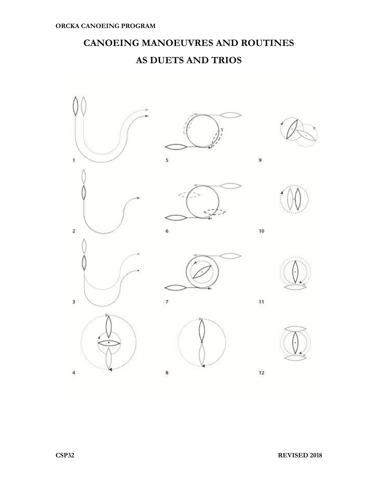# **CANOEING MANOEUVRES AND ROUTINES**

# **AS DUETS AND TRIOS**

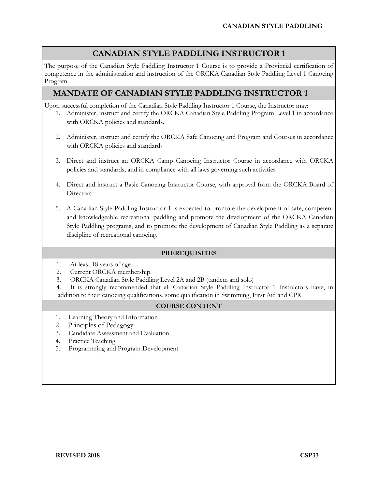# **CANADIAN STYLE PADDLING INSTRUCTOR 1**

The purpose of the Canadian Style Paddling Instructor 1 Course is to provide a Provincial certification of competence in the administration and instruction of the ORCKA Canadian Style Paddling Level 1 Canoeing Program.

# **MANDATE OF CANADIAN STYLE PADDLING INSTRUCTOR 1**

Upon successful completion of the Canadian Style Paddling Instructor 1 Course, the Instructor may:

- 1. Administer, instruct and certify the ORCKA Canadian Style Paddling Program Level 1 in accordance with ORCKA policies and standards.
- 2. Administer, instruct and certify the ORCKA Safe Canoeing and Program and Courses in accordance with ORCKA policies and standards
- 3. Direct and instruct an ORCKA Camp Canoeing Instructor Course in accordance with ORCKA policies and standards, and in compliance with all laws governing such activities
- 4. Direct and instruct a Basic Canoeing Instructor Course, with approval from the ORCKA Board of **Directors**
- 5. A Canadian Style Paddling Instructor 1 is expected to promote the development of safe, competent and knowledgeable recreational paddling and promote the development of the ORCKA Canadian Style Paddling programs, and to promote the development of Canadian Style Paddling as a separate discipline of recreational canoeing.

### **PREREQUISITES**

- 1. At least 18 years of age.
- 2. Current ORCKA membership.
- 3. ORCKA Canadian Style Paddling Level 2A and 2B (tandem and solo)

 4. It is strongly recommended that all Canadian Style Paddling Instructor 1 Instructors have, in addition to their canoeing qualifications, some qualification in Swimming, First Aid and CPR.

### **COURSE CONTENT**

- 1. Learning Theory and Information
- 2. Principles of Pedagogy
- 3. Candidate Assessment and Evaluation
- 4. Practice Teaching
- 5. Programming and Program Development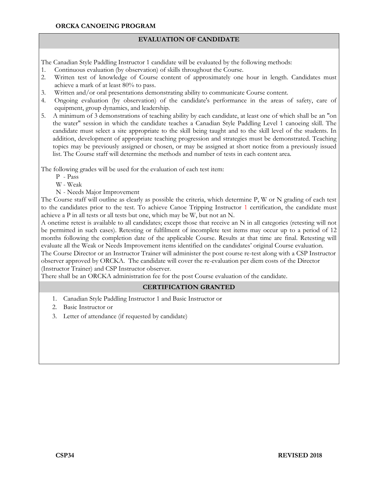### **EVALUATION OF CANDIDATE**

The Canadian Style Paddling Instructor 1 candidate will be evaluated by the following methods:

- 1. Continuous evaluation (by observation) of skills throughout the Course.
- 2. Written test of knowledge of Course content of approximately one hour in length. Candidates must achieve a mark of at least 80% to pass.
- 3. Written and/or oral presentations demonstrating ability to communicate Course content.
- 4. Ongoing evaluation (by observation) of the candidate's performance in the areas of safety, care of equipment, group dynamics, and leadership.
- 5. A minimum of 3 demonstrations of teaching ability by each candidate, at least one of which shall be an "on the water" session in which the candidate teaches a Canadian Style Paddling Level 1 canoeing skill. The candidate must select a site appropriate to the skill being taught and to the skill level of the students. In addition, development of appropriate teaching progression and strategies must be demonstrated. Teaching topics may be previously assigned or chosen, or may be assigned at short notice from a previously issued list. The Course staff will determine the methods and number of tests in each content area.

The following grades will be used for the evaluation of each test item:

- P Pass
- W Weak
- N Needs Major Improvement

The Course staff will outline as clearly as possible the criteria, which determine P, W or N grading of each test to the candidates prior to the test. To achieve Canoe Tripping Instructor 1 certification, the candidate must achieve a P in all tests or all tests but one, which may be W, but not an N.

A onetime retest is available to all candidates; except those that receive an N in all categories (retesting will not be permitted in such cases). Retesting or fulfilment of incomplete test items may occur up to a period of 12 months following the completion date of the applicable Course. Results at that time are final. Retesting will evaluate all the Weak or Needs Improvement items identified on the candidates' original Course evaluation.

The Course Director or an Instructor Trainer will administer the post course re-test along with a CSP Instructor observer approved by ORCKA. The candidate will cover the re-evaluation per diem costs of the Director (Instructor Trainer) and CSP Instructor observer.

There shall be an ORCKA administration fee for the post Course evaluation of the candidate.

#### **CERTIFICATION GRANTED**

- 1. Canadian Style Paddling Instructor 1 and Basic Instructor or
- 2. Basic Instructor or
- 3. Letter of attendance (if requested by candidate)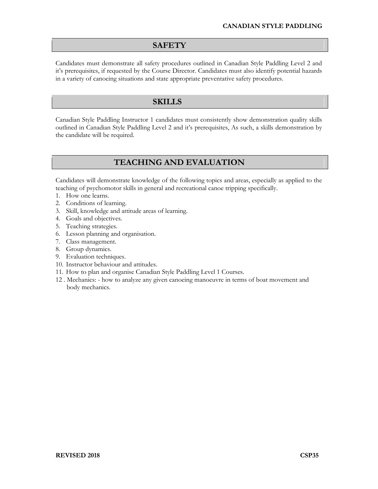### **SAFETY**

Candidates must demonstrate all safety procedures outlined in Canadian Style Paddling Level 2 and it's prerequisites, if requested by the Course Director. Candidates must also identify potential hazards in a variety of canoeing situations and state appropriate preventative safety procedures.

### **SKILLS**

Canadian Style Paddling Instructor 1 candidates must consistently show demonstration quality skills outlined in Canadian Style Paddling Level 2 and it's prerequisites, As such, a skills demonstration by the candidate will be required.

# **TEACHING AND EVALUATION**

Candidates will demonstrate knowledge of the following topics and areas, especially as applied to the teaching of psychomotor skills in general and recreational canoe tripping specifically.

- 1. How one learns.
- 2. Conditions of learning.
- 3. Skill, knowledge and attitude areas of learning.
- 4. Goals and objectives.
- 5. Teaching strategies.
- 6. Lesson planning and organisation.
- 7. Class management.
- 8. Group dynamics.
- 9. Evaluation techniques.
- 10. Instructor behaviour and attitudes.
- 11. How to plan and organise Canadian Style Paddling Level 1 Courses.
- 12 . Mechanics: how to analyze any given canoeing manoeuvre in terms of boat movement and body mechanics.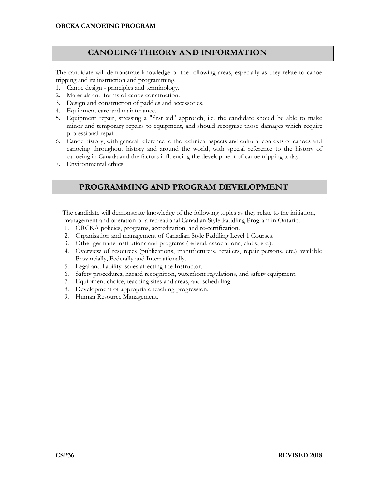# **CANOEING THEORY AND INFORMATION**

The candidate will demonstrate knowledge of the following areas, especially as they relate to canoe tripping and its instruction and programming.

- 1. Canoe design principles and terminology.
- 2. Materials and forms of canoe construction.
- 3. Design and construction of paddles and accessories.
- 4. Equipment care and maintenance.
- 5. Equipment repair, stressing a "first aid" approach, i.e. the candidate should be able to make minor and temporary repairs to equipment, and should recognise those damages which require professional repair.
- 6. Canoe history, with general reference to the technical aspects and cultural contexts of canoes and canoeing throughout history and around the world, with special reference to the history of canoeing in Canada and the factors influencing the development of canoe tripping today.
- 7. Environmental ethics.

# **PROGRAMMING AND PROGRAM DEVELOPMENT**

 The candidate will demonstrate knowledge of the following topics as they relate to the initiation, management and operation of a recreational Canadian Style Paddling Program in Ontario.

- 1. ORCKA policies, programs, accreditation, and re-certification.
- 2. Organisation and management of Canadian Style Paddling Level 1 Courses.
- 3. Other germane institutions and programs (federal, associations, clubs, etc.).
- 4. Overview of resources (publications, manufacturers, retailers, repair persons, etc.) available Provincially, Federally and Internationally.
- 5. Legal and liability issues affecting the Instructor.
- 6. Safety procedures, hazard recognition, waterfront regulations, and safety equipment.
- 7. Equipment choice, teaching sites and areas, and scheduling.
- 8. Development of appropriate teaching progression.
- 9. Human Resource Management.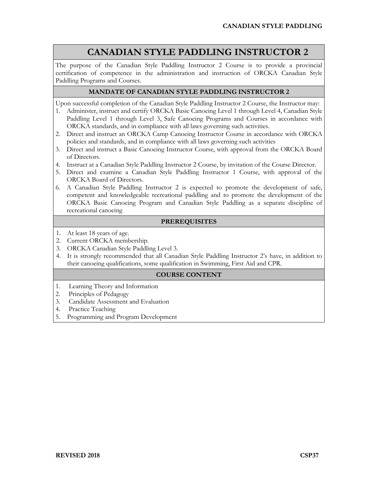# **CANADIAN STYLE PADDLING INSTRUCTOR 2**

The purpose of the Canadian Style Paddling Instructor 2 Course is to provide a provincial certification of competence in the administration and instruction of ORCKA Canadian Style Paddling Programs and Courses.

### **MANDATE OF CANADIAN STYLE PADDLING INSTRUCTOR 2**

Upon successful completion of the Canadian Style Paddling Instructor 2 Course, the Instructor may:

- 1. Administer, instruct and certify ORCKA Basic Canoeing Level 1 through Level 4, Canadian Style Paddling Level 1 through Level 3, Safe Canoeing Programs and Courses in accordance with ORCKA standards, and in compliance with all laws governing such activities.
- 2. Direct and instruct an ORCKA Camp Canoeing Instructor Course in accordance with ORCKA policies and standards, and in compliance with all laws governing such activities
- 3. Direct and instruct a Basic Canoeing Instructor Course, with approval from the ORCKA Board of Directors.
- 4. Instruct at a Canadian Style Paddling Instructor 2 Course, by invitation of the Course Director.
- 5. Direct and examine a Canadian Style Paddling Instructor 1 Course, with approval of the ORCKA Board of Directors.
- 6. A Canadian Style Paddling Instructor 2 is expected to promote the development of safe, competent and knowledgeable recreational paddling and to promote the development of the ORCKA Basic Canoeing Program and Canadian Style Paddling as a separate discipline of recreational canoeing

#### **PREREQUISITES**

- 1. At least 18 years of age.
- 2. Current ORCKA membership.
- 3. ORCKA Canadian Style Paddling Level 3.
- 4. It is strongly recommended that all Canadian Style Paddling Instructor 2's have, in addition to their canoeing qualifications, some qualification in Swimming, First Aid and CPR.

### **COURSE CONTENT**

- 1. Learning Theory and Information
- 2. Principles of Pedagogy
- 3. Candidate Assessment and Evaluation
- 4. Practice Teaching
- 5. Programming and Program Development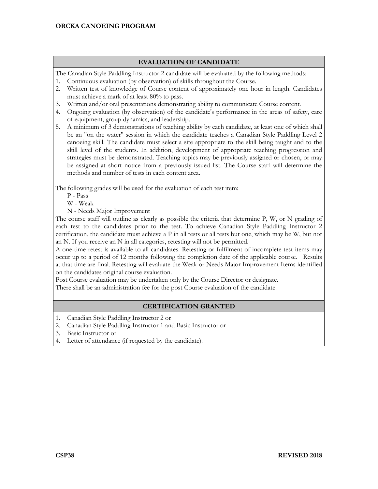#### **EVALUATION OF CANDIDATE**

The Canadian Style Paddling Instructor 2 candidate will be evaluated by the following methods:

- 1. Continuous evaluation (by observation) of skills throughout the Course.
- 2. Written test of knowledge of Course content of approximately one hour in length. Candidates must achieve a mark of at least 80% to pass.
- 3. Written and/or oral presentations demonstrating ability to communicate Course content.
- 4. Ongoing evaluation (by observation) of the candidate's performance in the areas of safety, care of equipment, group dynamics, and leadership.
- 5. A minimum of 3 demonstrations of teaching ability by each candidate, at least one of which shall be an "on the water" session in which the candidate teaches a Canadian Style Paddling Level 2 canoeing skill. The candidate must select a site appropriate to the skill being taught and to the skill level of the students. In addition, development of appropriate teaching progression and strategies must be demonstrated. Teaching topics may be previously assigned or chosen, or may be assigned at short notice from a previously issued list. The Course staff will determine the methods and number of tests in each content area.

The following grades will be used for the evaluation of each test item:

- P Pass
- W Weak
- N Needs Major Improvement

The course staff will outline as clearly as possible the criteria that determine P, W, or N grading of each test to the candidates prior to the test. To achieve Canadian Style Paddling Instructor 2 certification, the candidate must achieve a P in all tests or all tests but one, which may be W, but not an N. If you receive an N in all categories, retesting will not be permitted.

A one-time retest is available to all candidates. Retesting or fulfilment of incomplete test items may occur up to a period of 12 months following the completion date of the applicable course. Results at that time are final. Retesting will evaluate the Weak or Needs Major Improvement Items identified on the candidates original course evaluation.

Post Course evaluation may be undertaken only by the Course Director or designate.

There shall be an administration fee for the post Course evaluation of the candidate.

#### **CERTIFICATION GRANTED**

- 1. Canadian Style Paddling Instructor 2 or
- 2. Canadian Style Paddling Instructor 1 and Basic Instructor or
- 3. Basic Instructor or
- 4. Letter of attendance (if requested by the candidate).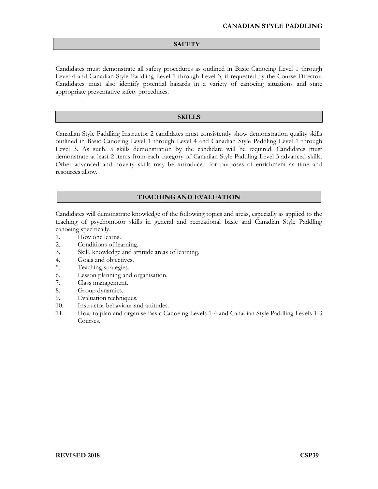#### **SAFETY**

Candidates must demonstrate all safety procedures as outlined in Basic Canoeing Level 1 through Level 4 and Canadian Style Paddling Level 1 through Level 3, if requested by the Course Director. Candidates must also identify potential hazards in a variety of canoeing situations and state appropriate preventative safety procedures.

#### **SKILLS**

Canadian Style Paddling Instructor 2 candidates must consistently show demonstration quality skills outlined in Basic Canoeing Level 1 through Level 4 and Canadian Style Paddling Level 1 through Level 3. As such, a skills demonstration by the candidate will be required. Candidates must demonstrate at least 2 items from each category of Canadian Style Paddling Level 3 advanced skills. Other advanced and novelty skills may be introduced for purposes of enrichment as time and resources allow.

#### **TEACHING AND EVALUATION**

Candidates will demonstrate knowledge of the following topics and areas, especially as applied to the teaching of psychomotor skills in general and recreational basic and Canadian Style Paddling canoeing specifically.

- 1. How one learns.
- 2. Conditions of learning.
- 3. Skill, knowledge and attitude areas of learning.
- 4. Goals and objectives.
- 5. Teaching strategies.
- 6. Lesson planning and organisation.
- 7. Class management.
- 8. Group dynamics.
- 9. Evaluation techniques.
- 10. Instructor behaviour and attitudes.
- 11. How to plan and organise Basic Canoeing Levels 1-4 and Canadian Style Paddling Levels 1-3 Courses.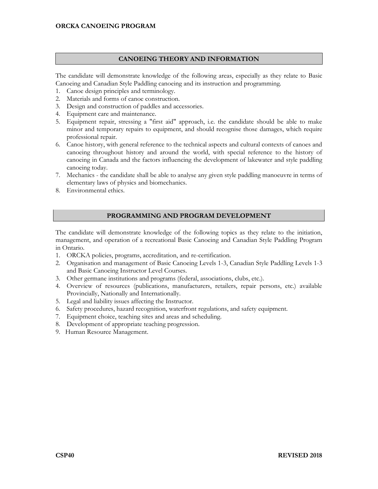#### **CANOEING THEORY AND INFORMATION**

The candidate will demonstrate knowledge of the following areas, especially as they relate to Basic Canoeing and Canadian Style Paddling canoeing and its instruction and programming.

- 1. Canoe design principles and terminology.
- 2. Materials and forms of canoe construction.
- 3. Design and construction of paddles and accessories.
- 4. Equipment care and maintenance.
- 5. Equipment repair, stressing a "first aid" approach, i.e. the candidate should be able to make minor and temporary repairs to equipment, and should recognise those damages, which require professional repair.
- 6. Canoe history, with general reference to the technical aspects and cultural contexts of canoes and canoeing throughout history and around the world, with special reference to the history of canoeing in Canada and the factors influencing the development of lakewater and style paddling canoeing today.
- 7. Mechanics the candidate shall be able to analyse any given style paddling manoeuvre in terms of elementary laws of physics and biomechanics.
- 8. Environmental ethics.

#### **PROGRAMMING AND PROGRAM DEVELOPMENT**

The candidate will demonstrate knowledge of the following topics as they relate to the initiation, management, and operation of a recreational Basic Canoeing and Canadian Style Paddling Program in Ontario.

- 1. ORCKA policies, programs, accreditation, and re-certification.
- 2. Organisation and management of Basic Canoeing Levels 1-3, Canadian Style Paddling Levels 1-3 and Basic Canoeing Instructor Level Courses.
- 3. Other germane institutions and programs (federal, associations, clubs, etc.).
- 4. Overview of resources (publications, manufacturers, retailers, repair persons, etc.) available Provincially, Nationally and Internationally.
- 5. Legal and liability issues affecting the Instructor.
- 6. Safety procedures, hazard recognition, waterfront regulations, and safety equipment.
- 7. Equipment choice, teaching sites and areas and scheduling.
- 8. Development of appropriate teaching progression.
- 9. Human Resource Management.